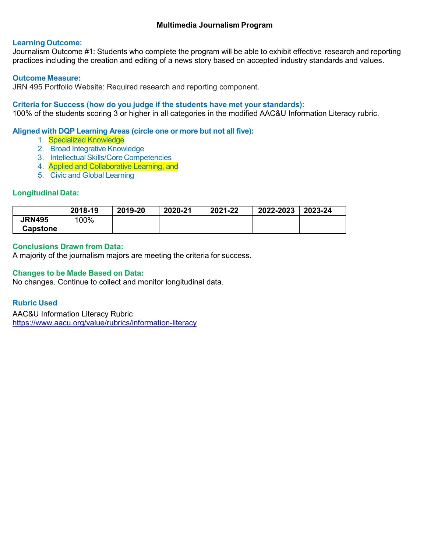# **Learning Outcome:**

Journalism Outcome #1: Students who complete the program will be able to exhibit effective research and reporting practices including the creation and editing of a news story based on accepted industry standards and values.

# **Outcome Measure:**

JRN 495 Portfolio Website: Required research and reporting component.

# **Criteria for Success (how do you judge if the students have met your standards):**

100% of the students scoring 3 or higher in all categories in the modified AAC&U Information Literacy rubric.

# **Aligned with DQP Learning Areas (circle one or more but not all five):**

- 1. Specialized Knowledge
- 2. Broad Integrative Knowledge
- 3. Intellectual Skills/Core Competencies
- 4. Applied and Collaborative Learning, and
- 5. Civic and Global Learning

# **Longitudinal Data:**

|                 | 2018-19 | 2019-20 | 2020-21 | 2021-22 | 2022-2023 | 2023-24 |
|-----------------|---------|---------|---------|---------|-----------|---------|
| <b>JRN495</b>   | 100%    |         |         |         |           |         |
| <b>Capstone</b> |         |         |         |         |           |         |

# **Conclusions Drawn from Data:**

A majority of the journalism majors are meeting the criteria for success.

# **Changes to be Made Based on Data:**

No changes. Continue to collect and monitor longitudinal data.

# **Rubric Used**

AAC&U Information Literacy Rubric <https://www.aacu.org/value/rubrics/information-literacy>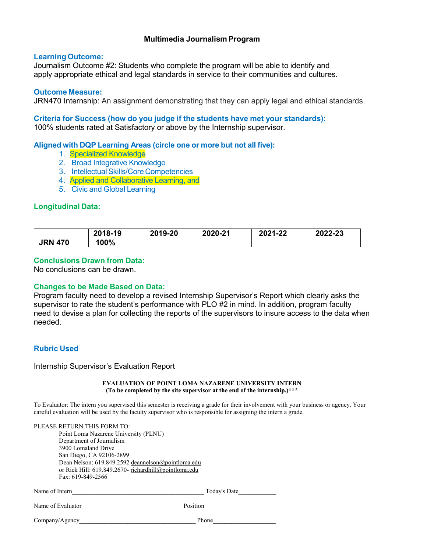### **Learning Outcome:**

Journalism Outcome #2: Students who complete the program will be able to identify and apply appropriate ethical and legal standards in service to their communities and cultures.

#### **Outcome Measure:**

JRN470 Internship: An assignment demonstrating that they can apply legal and ethical standards.

# **Criteria for Success (how do you judge if the students have met your standards):**

100% students rated at Satisfactory or above by the Internship supervisor.

# **Aligned with DQP Learning Areas (circle one or more but not all five):**

- 1. Specialized Knowledge
- 2. Broad Integrative Knowledge
- 3. Intellectual Skills/Core Competencies
- 4. Applied and Collaborative Learning, and
- 5. Civic and Global Learning

### **Longitudinal Data:**

|                | 2018-19 | 2019-20 | 2020-21 | 2021-22 | 2022-23 |
|----------------|---------|---------|---------|---------|---------|
| <b>JRN 470</b> | 100%    |         |         |         |         |

# **Conclusions Drawn from Data:**

No conclusions can be drawn.

# **Changes to be Made Based on Data:**

Program faculty need to develop a revised Internship Supervisor's Report which clearly asks the supervisor to rate the student's performance with PLO #2 in mind. In addition, program faculty need to devise a plan for collecting the reports of the supervisors to insure access to the data when needed.

# **Rubric Used**

Internship Supervisor's Evaluation Report

#### **EVALUATION OF POINT LOMA NAZARENE UNIVERSITY INTERN (To be completed by the site supervisor at the end of the internship.)\*\*\***

To Evaluator: The intern you supervised this semester is receiving a grade for their involvement with your business or agency. Your careful evaluation will be used by the faculty supervisor who is responsible for assigning the intern a grade.

|                   | PLEASE RETURN THIS FORM TO:                           |
|-------------------|-------------------------------------------------------|
|                   | Point Loma Nazarene University (PLNU)                 |
|                   | Department of Journalism                              |
|                   | 3900 Lomaland Drive                                   |
|                   | San Diego, CA 92106-2899                              |
|                   | Dean Nelson: 619.849.2592 deannelson@pointloma.edu    |
|                   | or Rick Hill: 619.849.2670- richardhill@pointloma.edu |
|                   | Fax: 619-849-2566                                     |
| Name of Intern    | Today's Date                                          |
| Name of Evaluator | Position                                              |
| Company/Agency    | Phone                                                 |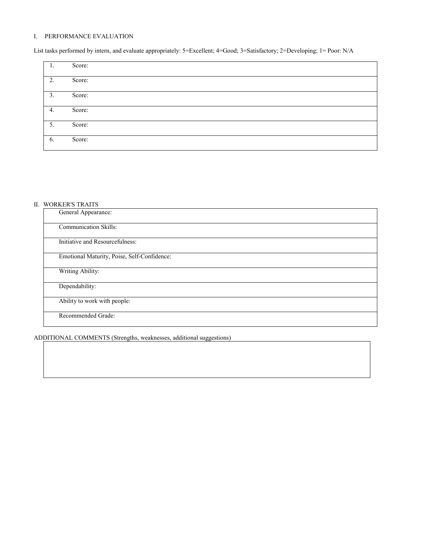### I. PERFORMANCE EVALUATION

List tasks performed by intern, and evaluate appropriately: 5=Excellent; 4=Good; 3=Satisfactory; 2=Developing; 1= Poor: N/A

| Ι. | Score: |
|----|--------|
| 2. | Score: |
| 3. | Score: |
| 4. | Score: |
| 5. | Score: |
| 6. | Score: |

#### II. WORKER'S TRAITS

| General Appearance:                         |
|---------------------------------------------|
| Communication Skills:                       |
| Initiative and Resourcefulness:             |
| Emotional Maturity, Poise, Self-Confidence: |
| Writing Ability:                            |
| Dependability:                              |
| Ability to work with people:                |
| Recommended Grade:                          |

ADDITIONAL COMMENTS (Strengths, weaknesses, additional suggestions)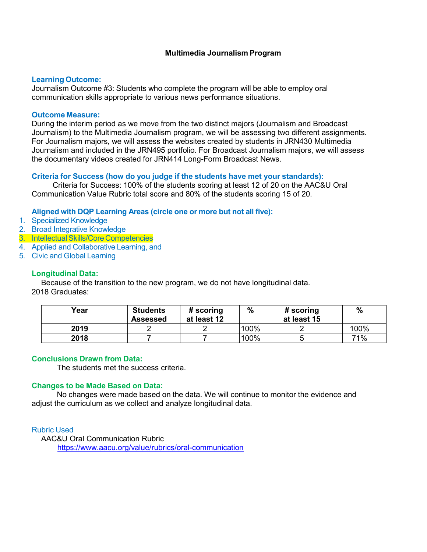# **Learning Outcome:**

Journalism Outcome #3: Students who complete the program will be able to employ oral communication skills appropriate to various news performance situations.

#### **Outcome Measure:**

During the interim period as we move from the two distinct majors (Journalism and Broadcast Journalism) to the Multimedia Journalism program, we will be assessing two different assignments. For Journalism majors, we will assess the websites created by students in JRN430 Multimedia Journalism and included in the JRN495 portfolio. For Broadcast Journalism majors, we will assess the documentary videos created for JRN414 Long-Form Broadcast News.

### **Criteria for Success (how do you judge if the students have met your standards):**

Criteria for Success: 100% of the students scoring at least 12 of 20 on the AAC&U Oral Communication Value Rubric total score and 80% of the students scoring 15 of 20.

### **Aligned with DQP Learning Areas (circle one or more but not all five):**

- 1. Specialized Knowledge
- 2. Broad Integrative Knowledge
- 3. Intellectual Skills/Core Competencies
- 4. Applied and Collaborative Learning, and
- 5. Civic and Global Learning

### **Longitudinal Data:**

Because of the transition to the new program, we do not have longitudinal data. 2018 Graduates:

| Year | <b>Students</b><br><b>Assessed</b> | # scoring<br>at least 12 | $\%$ | # scoring<br>at least 15 | $\%$ |
|------|------------------------------------|--------------------------|------|--------------------------|------|
| 2019 |                                    |                          | 100% |                          | 100% |
| 2018 |                                    |                          | 100% |                          | 71%  |

#### **Conclusions Drawn from Data:**

The students met the success criteria.

#### **Changes to be Made Based on Data:**

No changes were made based on the data. We will continue to monitor the evidence and adjust the curriculum as we collect and analyze longitudinal data.

# Rubric Used

AAC&U Oral Communication Rubric <https://www.aacu.org/value/rubrics/oral-communication>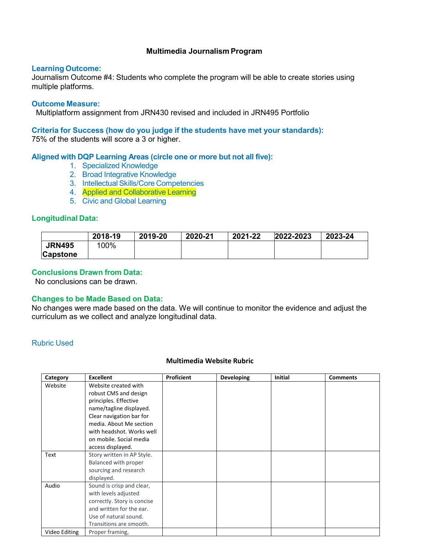# **Learning Outcome:**

Journalism Outcome #4: Students who complete the program will be able to create stories using multiple platforms.

# **Outcome Measure:**

Multiplatform assignment from JRN430 revised and included in JRN495 Portfolio

**Criteria for Success (how do you judge if the students have met your standards):** 75% of the students will score a 3 or higher.

### **Aligned with DQP Learning Areas (circle one or more but not all five):**

- 1. Specialized Knowledge
- 2. Broad Integrative Knowledge
- 3. Intellectual Skills/Core Competencies
- 4. Applied and Collaborative Learning
- 5. Civic and Global Learning

# **Longitudinal Data:**

|                 | 2018-19 | 2019-20 | 2020-21 | 2021-22 | 2022-2023 | 2023-24 |
|-----------------|---------|---------|---------|---------|-----------|---------|
| <b>JRN495</b>   | 100%    |         |         |         |           |         |
| <b>Capstone</b> |         |         |         |         |           |         |

# **Conclusions Drawn from Data:**

No conclusions can be drawn.

# **Changes to be Made Based on Data:**

No changes were made based on the data. We will continue to monitor the evidence and adjust the curriculum as we collect and analyze longitudinal data.

# Rubric Used

# **Multimedia Website Rubric**

| Category      | <b>Excellent</b>            | Proficient | <b>Developing</b> | <b>Initial</b> | <b>Comments</b> |
|---------------|-----------------------------|------------|-------------------|----------------|-----------------|
| Website       | Website created with        |            |                   |                |                 |
|               | robust CMS and design       |            |                   |                |                 |
|               | principles. Effective       |            |                   |                |                 |
|               | name/tagline displayed.     |            |                   |                |                 |
|               | Clear navigation bar for    |            |                   |                |                 |
|               | media. About Me section     |            |                   |                |                 |
|               | with headshot. Works well   |            |                   |                |                 |
|               | on mobile. Social media     |            |                   |                |                 |
|               | access displayed.           |            |                   |                |                 |
| Text          | Story written in AP Style.  |            |                   |                |                 |
|               | Balanced with proper        |            |                   |                |                 |
|               | sourcing and research       |            |                   |                |                 |
|               | displayed.                  |            |                   |                |                 |
| Audio         | Sound is crisp and clear,   |            |                   |                |                 |
|               | with levels adjusted        |            |                   |                |                 |
|               | correctly. Story is concise |            |                   |                |                 |
|               | and written for the ear.    |            |                   |                |                 |
|               | Use of natural sound.       |            |                   |                |                 |
|               | Transitions are smooth.     |            |                   |                |                 |
| Video Editing | Proper framing,             |            |                   |                |                 |